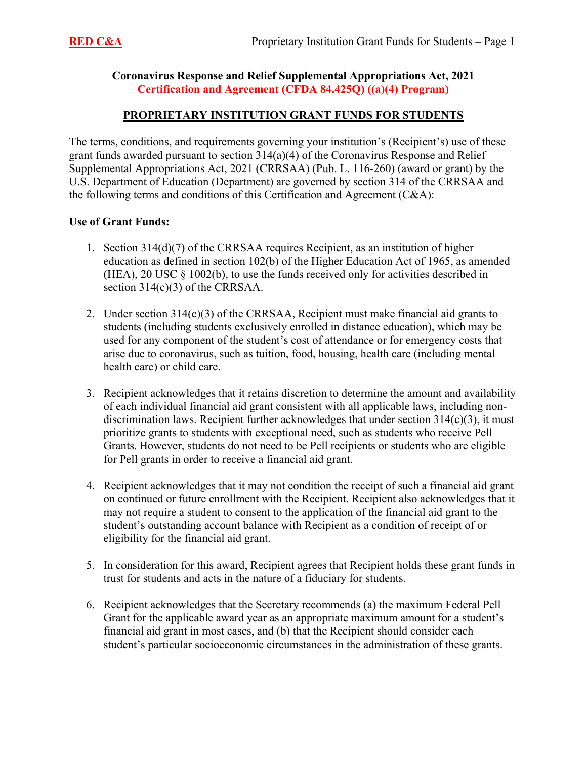#### **Coronavirus Response and Relief Supplemental Appropriations Act, 2021 Certification and Agreement (CFDA 84.425Q) ((a)(4) Program)**

### **PROPRIETARY INSTITUTION GRANT FUNDS FOR STUDENTS**

The terms, conditions, and requirements governing your institution's (Recipient's) use of these grant funds awarded pursuant to section 314(a)(4) of the Coronavirus Response and Relief Supplemental Appropriations Act, 2021 (CRRSAA) (Pub. L. 116-260) (award or grant) by the U.S. Department of Education (Department) are governed by section 314 of the CRRSAA and the following terms and conditions of this Certification and Agreement (C&A):

#### **Use of Grant Funds:**

- 1. Section 314(d)(7) of the CRRSAA requires Recipient, as an institution of higher education as defined in section 102(b) of the Higher Education Act of 1965, as amended (HEA), 20 USC  $\S$  1002(b), to use the funds received only for activities described in section 314(c)(3) of the CRRSAA.
- 2. Under section 314(c)(3) of the CRRSAA, Recipient must make financial aid grants to students (including students exclusively enrolled in distance education), which may be used for any component of the student's cost of attendance or for emergency costs that arise due to coronavirus, such as tuition, food, housing, health care (including mental health care) or child care.
- for Pell grants in order to receive a financial aid grant. 3. Recipient acknowledges that it retains discretion to determine the amount and availability of each individual financial aid grant consistent with all applicable laws, including nondiscrimination laws. Recipient further acknowledges that under section 314(c)(3), it must prioritize grants to students with exceptional need, such as students who receive Pell Grants. However, students do not need to be Pell recipients or students who are eligible
- 4. Recipient acknowledges that it may not condition the receipt of such a financial aid grant on continued or future enrollment with the Recipient. Recipient also acknowledges that it may not require a student to consent to the application of the financial aid grant to the student's outstanding account balance with Recipient as a condition of receipt of or eligibility for the financial aid grant.
- 5. In consideration for this award, Recipient agrees that Recipient holds these grant funds in trust for students and acts in the nature of a fiduciary for students.
- 6. Recipient acknowledges that the Secretary recommends (a) the maximum Federal Pell Grant for the applicable award year as an appropriate maximum amount for a student's financial aid grant in most cases, and (b) that the Recipient should consider each student's particular socioeconomic circumstances in the administration of these grants.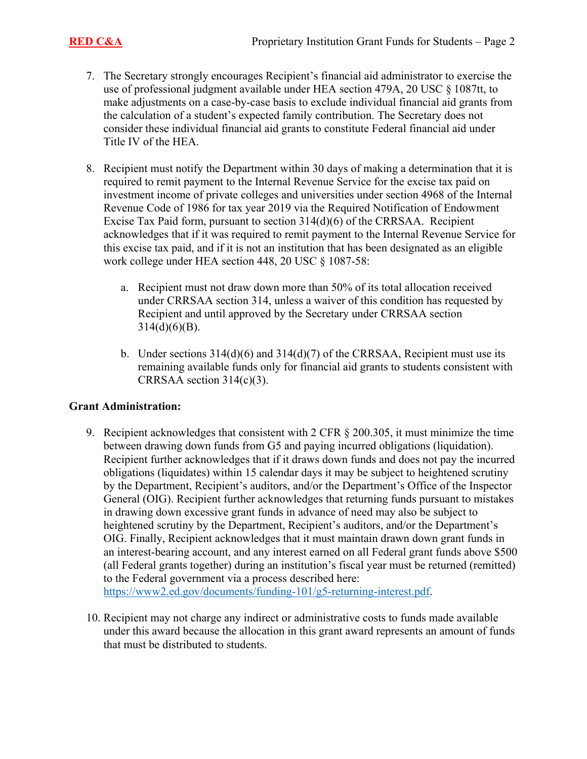- 7. The Secretary strongly encourages Recipient's financial aid administrator to exercise the use of professional judgment available under HEA section 479A, 20 USC § 1087tt, to make adjustments on a case-by-case basis to exclude individual financial aid grants from the calculation of a student's expected family contribution. The Secretary does not consider these individual financial aid grants to constitute Federal financial aid under Title IV of the HEA.
- 8. Recipient must notify the Department within 30 days of making a determination that it is required to remit payment to the Internal Revenue Service for the excise tax paid on investment income of private colleges and universities under section 4968 of the Internal Revenue Code of 1986 for tax year 2019 via the Required Notification of Endowment Excise Tax Paid form, pursuant to section 314(d)(6) of the CRRSAA. Recipient acknowledges that if it was required to remit payment to the Internal Revenue Service for this excise tax paid, and if it is not an institution that has been designated as an eligible work college under HEA section 448, 20 USC § 1087-58:
	- a. Recipient must not draw down more than 50% of its total allocation received under CRRSAA section 314, unless a waiver of this condition has requested by Recipient and until approved by the Secretary under CRRSAA section  $314(d)(6)(B)$ .
	- b. Under sections  $314(d)(6)$  and  $314(d)(7)$  of the CRRSAA, Recipient must use its remaining available funds only for financial aid grants to students consistent with CRRSAA section 314(c)(3).

#### **Grant Administration:**

9. Recipient acknowledges that consistent with 2 CFR § 200.305, it must minimize the time between drawing down funds from G5 and paying incurred obligations (liquidation). Recipient further acknowledges that if it draws down funds and does not pay the incurred obligations (liquidates) within 15 calendar days it may be subject to heightened scrutiny by the Department, Recipient's auditors, and/or the Department's Office of the Inspector General (OIG). Recipient further acknowledges that returning funds pursuant to mistakes in drawing down excessive grant funds in advance of need may also be subject to heightened scrutiny by the Department, Recipient's auditors, and/or the Department's OIG. Finally, Recipient acknowledges that it must maintain drawn down grant funds in an interest-bearing account, and any interest earned on all Federal grant funds above \$500 (all Federal grants together) during an institution's fiscal year must be returned (remitted) to the Federal government via a process described here:

<https://www2.ed.gov/documents/funding-101/g5-returning-interest.pdf>.

10. Recipient may not charge any indirect or administrative costs to funds made available under this award because the allocation in this grant award represents an amount of funds that must be distributed to students.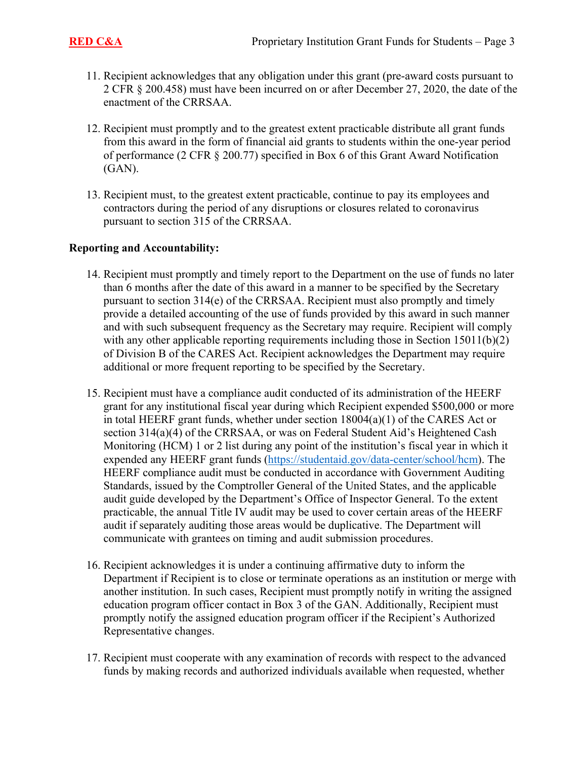- 11. Recipient acknowledges that any obligation under this grant (pre-award costs pursuant to 2 CFR § 200.458) must have been incurred on or after December 27, 2020, the date of the enactment of the CRRSAA.
- 12. Recipient must promptly and to the greatest extent practicable distribute all grant funds from this award in the form of financial aid grants to students within the one-year period of performance (2 CFR § 200.77) specified in Box 6 of this Grant Award Notification (GAN).
- 13. Recipient must, to the greatest extent practicable, continue to pay its employees and contractors during the period of any disruptions or closures related to coronavirus pursuant to section 315 of the CRRSAA.

#### **Reporting and Accountability:**

- 14. Recipient must promptly and timely report to the Department on the use of funds no later than 6 months after the date of this award in a manner to be specified by the Secretary pursuant to section 314(e) of the CRRSAA. Recipient must also promptly and timely provide a detailed accounting of the use of funds provided by this award in such manner and with such subsequent frequency as the Secretary may require. Recipient will comply with any other applicable reporting requirements including those in Section  $15011(b)(2)$ of Division B of the CARES Act. Recipient acknowledges the Department may require additional or more frequent reporting to be specified by the Secretary.
- 15. Recipient must have a compliance audit conducted of its administration of the HEERF grant for any institutional fiscal year during which Recipient expended \$500,000 or more in total HEERF grant funds, whether under section  $18004(a)(1)$  of the CARES Act or section 314(a)(4) of the CRRSAA, or was on Federal Student Aid's Heightened Cash Monitoring (HCM) 1 or 2 list during any point of the institution's fiscal year in which it expended any HEERF grant funds ([https://studentaid.gov/data-center/school/hcm\)](https://studentaid.gov/data-center/school/hcm). The HEERF compliance audit must be conducted in accordance with Government Auditing Standards, issued by the Comptroller General of the United States, and the applicable audit guide developed by the Department's Office of Inspector General. To the extent practicable, the annual Title IV audit may be used to cover certain areas of the HEERF audit if separately auditing those areas would be duplicative. The Department will communicate with grantees on timing and audit submission procedures.
- 16. Recipient acknowledges it is under a continuing affirmative duty to inform the Department if Recipient is to close or terminate operations as an institution or merge with another institution. In such cases, Recipient must promptly notify in writing the assigned education program officer contact in Box 3 of the GAN. Additionally, Recipient must promptly notify the assigned education program officer if the Recipient's Authorized Representative changes.
- 17. Recipient must cooperate with any examination of records with respect to the advanced funds by making records and authorized individuals available when requested, whether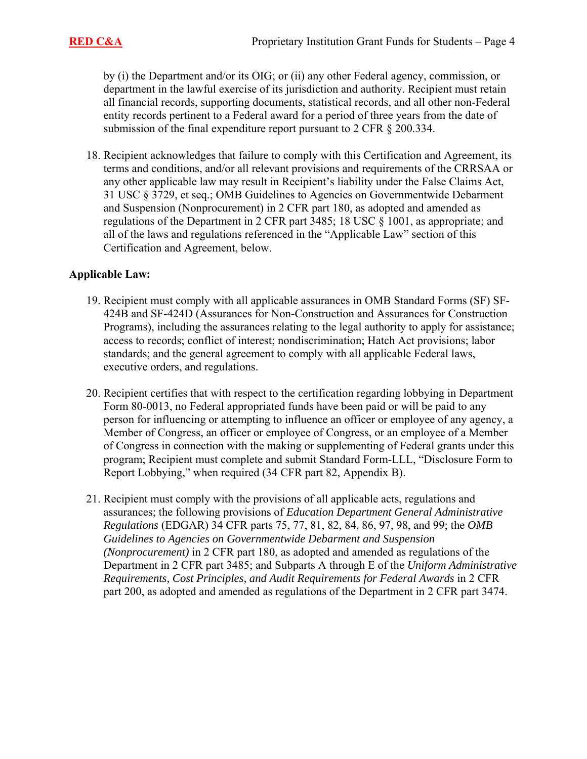by (i) the Department and/or its OIG; or (ii) any other Federal agency, commission, or department in the lawful exercise of its jurisdiction and authority. Recipient must retain all financial records, supporting documents, statistical records, and all other non-Federal entity records pertinent to a Federal award for a period of three years from the date of submission of the final expenditure report pursuant to 2 CFR § 200.334.

18. Recipient acknowledges that failure to comply with this Certification and Agreement, its terms and conditions, and/or all relevant provisions and requirements of the CRRSAA or any other applicable law may result in Recipient's liability under the False Claims Act, 31 USC § 3729, et seq.; OMB Guidelines to Agencies on Governmentwide Debarment and Suspension (Nonprocurement) in 2 CFR part 180, as adopted and amended as regulations of the Department in 2 CFR part 3485; 18 USC § 1001, as appropriate; and all of the laws and regulations referenced in the "Applicable Law" section of this Certification and Agreement, below.

#### **Applicable Law:**

- 19. Recipient must comply with all applicable assurances in OMB Standard Forms (SF) SF-424B and SF-424D (Assurances for Non-Construction and Assurances for Construction Programs), including the assurances relating to the legal authority to apply for assistance; access to records; conflict of interest; nondiscrimination; Hatch Act provisions; labor standards; and the general agreement to comply with all applicable Federal laws, executive orders, and regulations.
- 20. Recipient certifies that with respect to the certification regarding lobbying in Department Form 80-0013, no Federal appropriated funds have been paid or will be paid to any person for influencing or attempting to influence an officer or employee of any agency, a Member of Congress, an officer or employee of Congress, or an employee of a Member of Congress in connection with the making or supplementing of Federal grants under this program; Recipient must complete and submit Standard Form-LLL, "Disclosure Form to Report Lobbying," when required (34 CFR part 82, Appendix B).
- 21. Recipient must comply with the provisions of all applicable acts, regulations and assurances; the following provisions of *Education Department General Administrative Regulations* (EDGAR) 34 CFR parts 75, 77, 81, 82, 84, 86, 97, 98, and 99; the *OMB Guidelines to Agencies on Governmentwide Debarment and Suspension (Nonprocurement)* in 2 CFR part 180, as adopted and amended as regulations of the Department in 2 CFR part 3485; and Subparts A through E of the *Uniform Administrative Requirements, Cost Principles, and Audit Requirements for Federal Awards* in 2 CFR part 200, as adopted and amended as regulations of the Department in 2 CFR part 3474.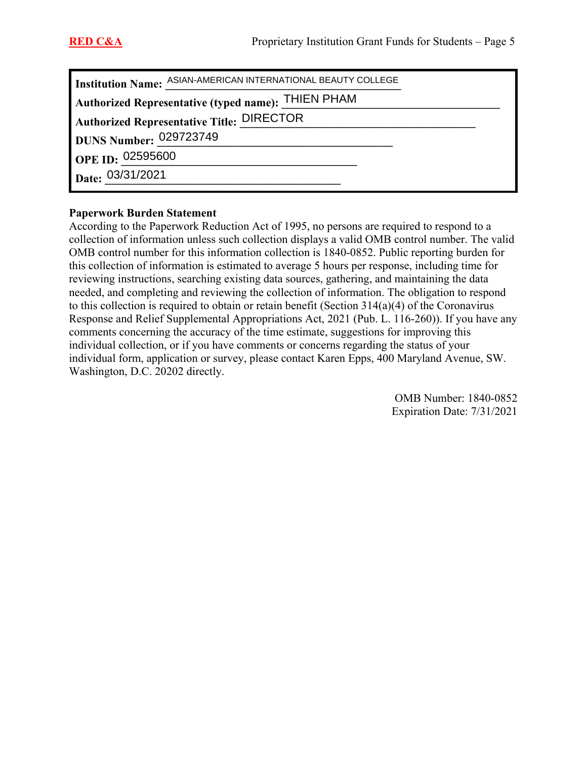|                        | Institution Name: ASIAN-AMERICAN INTERNATIONAL BEAUTY COLLEGE |
|------------------------|---------------------------------------------------------------|
|                        | Authorized Representative (typed name): THIEN PHAM            |
|                        | Authorized Representative Title: DIRECTOR                     |
| DUNS Number: 029723749 |                                                               |
| OPE ID: 02595600       |                                                               |
|                        |                                                               |
| Date: 03/31/2021       |                                                               |

#### **Paperwork Burden Statement**

According to the Paperwork Reduction Act of 1995, no persons are required to respond to a collection of information unless such collection displays a valid OMB control number. The valid OMB control number for this information collection is 1840-0852. Public reporting burden for this collection of information is estimated to average 5 hours per response, including time for reviewing instructions, searching existing data sources, gathering, and maintaining the data needed, and completing and reviewing the collection of information. The obligation to respond to this collection is required to obtain or retain benefit (Section 314(a)(4) of the Coronavirus Response and Relief Supplemental Appropriations Act, 2021 (Pub. L. 116-260)). If you have any comments concerning the accuracy of the time estimate, suggestions for improving this individual collection, or if you have comments or concerns regarding the status of your individual form, application or survey, please contact Karen Epps, 400 Maryland Avenue, SW. Washington, D.C. 20202 directly.

> OMB Number: 1840-0852 Expiration Date: 7/31/2021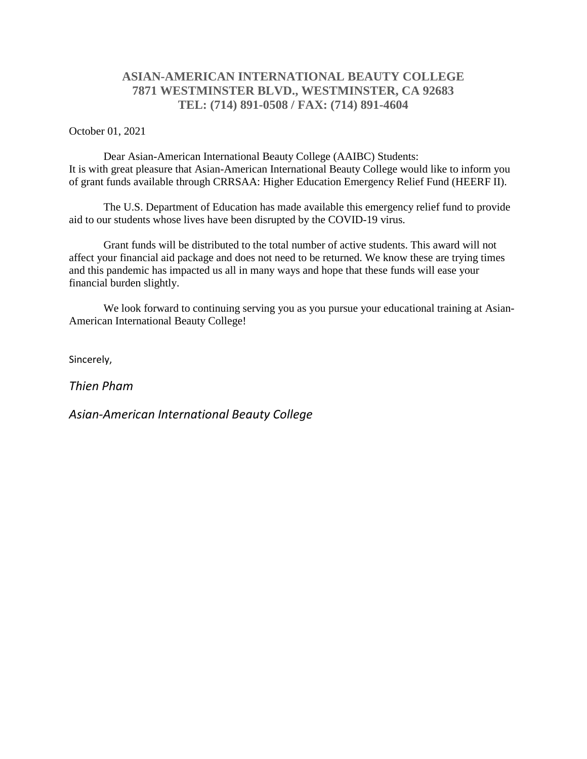## **ASIAN-AMERICAN INTERNATIONAL BEAUTY COLLEGE 7871 WESTMINSTER BLVD., WESTMINSTER, CA 92683 TEL: (714) 891-0508 / FAX: (714) 891-4604**

October 01, 2021

Dear Asian-American International Beauty College (AAIBC) Students: It is with great pleasure that Asian-American International Beauty College would like to inform you of grant funds available through CRRSAA: Higher Education Emergency Relief Fund (HEERF II).

The U.S. Department of Education has made available this emergency relief fund to provide aid to our students whose lives have been disrupted by the COVID-19 virus.

Grant funds will be distributed to the total number of active students. This award will not affect your financial aid package and does not need to be returned. We know these are trying times and this pandemic has impacted us all in many ways and hope that these funds will ease your financial burden slightly.

We look forward to continuing serving you as you pursue your educational training at Asian-American International Beauty College!

Sincerely,

*Thien Pham*

*Asian-American International Beauty College*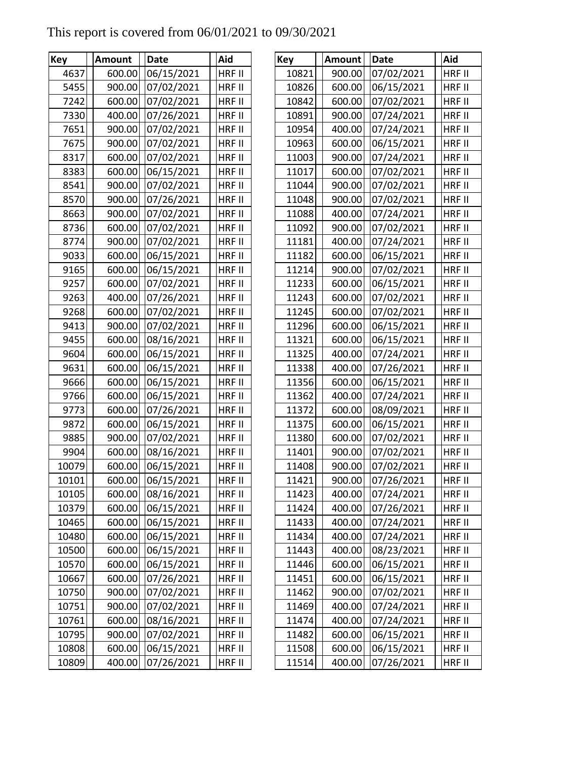# This report is covered from 06/01/2021 to 09/30/2021

| Key   | <b>Amount</b> | <b>Date</b> | Aid    | Key   | <b>Amount</b> | <b>Date</b> | Aid           |
|-------|---------------|-------------|--------|-------|---------------|-------------|---------------|
| 4637  | 600.00        | 06/15/2021  | HRF II | 10821 | 900.00        | 07/02/2021  | HRF II        |
| 5455  | 900.00        | 07/02/2021  | HRF II | 10826 | 600.00        | 06/15/2021  | <b>HRF II</b> |
| 7242  | 600.00        | 07/02/2021  | HRF II | 10842 | 600.00        | 07/02/2021  | <b>HRF II</b> |
| 7330  | 400.00        | 07/26/2021  | HRF II | 10891 | 900.00        | 07/24/2021  | HRF II        |
| 7651  | 900.00        | 07/02/2021  | HRF II | 10954 | 400.00        | 07/24/2021  | <b>HRF II</b> |
| 7675  | 900.00        | 07/02/2021  | HRF II | 10963 | 600.00        | 06/15/2021  | HRF II        |
| 8317  | 600.00        | 07/02/2021  | HRF II | 11003 | 900.00        | 07/24/2021  | <b>HRF II</b> |
| 8383  | 600.00        | 06/15/2021  | HRF II | 11017 | 600.00        | 07/02/2021  | HRF II        |
| 8541  | 900.00        | 07/02/2021  | HRF II | 11044 | 900.00        | 07/02/2021  | HRF II        |
| 8570  | 900.00        | 07/26/2021  | HRF II | 11048 | 900.00        | 07/02/2021  | HRF II        |
| 8663  | 900.00        | 07/02/2021  | HRF II | 11088 | 400.00        | 07/24/2021  | HRF II        |
| 8736  | 600.00        | 07/02/2021  | HRF II | 11092 | 900.00        | 07/02/2021  | <b>HRF II</b> |
| 8774  | 900.00        | 07/02/2021  | HRF II | 11181 | 400.00        | 07/24/2021  | HRF II        |
| 9033  | 600.00        | 06/15/2021  | HRF II | 11182 | 600.00        | 06/15/2021  | <b>HRF II</b> |
| 9165  | 600.00        | 06/15/2021  | HRF II | 11214 | 900.00        | 07/02/2021  | HRF II        |
| 9257  | 600.00        | 07/02/2021  | HRF II | 11233 | 600.00        | 06/15/2021  | <b>HRF II</b> |
| 9263  | 400.00        | 07/26/2021  | HRF II | 11243 | 600.00        | 07/02/2021  | HRF II        |
| 9268  | 600.00        | 07/02/2021  | HRF II | 11245 | 600.00        | 07/02/2021  | HRF II        |
| 9413  | 900.00        | 07/02/2021  | HRF II | 11296 | 600.00        | 06/15/2021  | <b>HRF II</b> |
| 9455  | 600.00        | 08/16/2021  | HRF II | 11321 | 600.00        | 06/15/2021  | HRF II        |
| 9604  | 600.00        | 06/15/2021  | HRF II | 11325 | 400.00        | 07/24/2021  | <b>HRF II</b> |
| 9631  | 600.00        | 06/15/2021  | HRF II | 11338 | 400.00        | 07/26/2021  | HRF II        |
| 9666  | 600.00        | 06/15/2021  | HRF II | 11356 | 600.00        | 06/15/2021  | <b>HRF II</b> |
| 9766  | 600.00        | 06/15/2021  | HRF II | 11362 | 400.00        | 07/24/2021  | HRF II        |
| 9773  | 600.00        | 07/26/2021  | HRF II | 11372 | 600.00        | 08/09/2021  | <b>HRF II</b> |
| 9872  | 600.00        | 06/15/2021  | HRF II | 11375 | 600.00        | 06/15/2021  | HRF II        |
| 9885  | 900.00        | 07/02/2021  | HRF II | 11380 | 600.00        | 07/02/2021  | HRF II        |
| 9904  | 600.00        | 08/16/2021  | HRF II | 11401 | 900.00        | 07/02/2021  | <b>HRF II</b> |
| 10079 | 600.00        | 06/15/2021  | HRF II | 11408 | 900.00        | 07/02/2021  | HRF II        |
| 10101 | 600.00        | 06/15/2021  | HRF II | 11421 | 900.00        | 07/26/2021  | HRF II        |
| 10105 | 600.00        | 08/16/2021  | HRF II | 11423 | 400.00        | 07/24/2021  | HRF II        |
| 10379 | 600.00        | 06/15/2021  | HRF II | 11424 | 400.00        | 07/26/2021  | <b>HRF II</b> |
| 10465 | 600.00        | 06/15/2021  | HRF II | 11433 | 400.00        | 07/24/2021  | HRF II        |
| 10480 | 600.00        | 06/15/2021  | HRF II | 11434 | 400.00        | 07/24/2021  | HRF II        |
| 10500 | 600.00        | 06/15/2021  | HRF II | 11443 | 400.00        | 08/23/2021  | <b>HRF II</b> |
| 10570 | 600.00        | 06/15/2021  | HRF II | 11446 | 600.00        | 06/15/2021  | <b>HRF II</b> |
| 10667 | 600.00        | 07/26/2021  | HRF II | 11451 | 600.00        | 06/15/2021  | <b>HRF II</b> |
| 10750 | 900.00        | 07/02/2021  | HRF II | 11462 | 900.00        | 07/02/2021  | HRF II        |
| 10751 | 900.00        | 07/02/2021  | HRF II | 11469 | 400.00        | 07/24/2021  | HRF II        |
| 10761 | 600.00        | 08/16/2021  | HRF II | 11474 | 400.00        | 07/24/2021  | HRF II        |
| 10795 | 900.00        | 07/02/2021  | HRF II | 11482 | 600.00        | 06/15/2021  | <b>HRF II</b> |
| 10808 | 600.00        | 06/15/2021  | HRF II | 11508 | 600.00        | 06/15/2021  | HRF II        |
| 10809 | 400.00        | 07/26/2021  | HRF II | 11514 | 400.00        | 07/26/2021  | HRF II        |

| V    | <b>Amount</b> | <b>Date</b>       | Aid           | <b>Key</b> | <b>Amount</b> | <b>Date</b>       | Aid           |
|------|---------------|-------------------|---------------|------------|---------------|-------------------|---------------|
| 4637 | 600.00        | 06/15/2021        | HRF II        | 10821      | 900.00        | 07/02/2021        | HRF II        |
| 5455 | 900.00        | 07/02/2021        | HRF II        | 10826      | 600.00        | 06/15/2021        | HRF II        |
| 7242 | 600.00        | 07/02/2021        | HRF II        | 10842      | 600.00        | 07/02/2021        | <b>HRF II</b> |
| 7330 | 400.00        | 07/26/2021        | HRF II        | 10891      | 900.00        | 07/24/2021        | HRF II        |
| 7651 | 900.00        | 07/02/2021        | HRF II        | 10954      | 400.00        | 07/24/2021        | HRF II        |
| 7675 | 900.00        | 07/02/2021        | HRF II        | 10963      | 600.00        | 06/15/2021        | HRF II        |
| 8317 | 600.00        | 07/02/2021        | HRF II        | 11003      | 900.00        | 07/24/2021        | HRF II        |
| 8383 | 600.00        | 06/15/2021        | HRF II        | 11017      | 600.00        | 07/02/2021        | HRF II        |
| 8541 | 900.00        | 07/02/2021        | HRF II        | 11044      | 900.00        | 07/02/2021        | HRF II        |
| 8570 | 900.00        | 07/26/2021        | HRF II        | 11048      | 900.00        | 07/02/2021        | HRF II        |
| 8663 | 900.00        | 07/02/2021        | HRF II        | 11088      | 400.00        | 07/24/2021        | HRF II        |
| 8736 | 600.00        | 07/02/2021        | HRF II        | 11092      | 900.00        | 07/02/2021        | <b>HRF II</b> |
| 8774 | 900.00        | 07/02/2021        | HRF II        | 11181      | 400.00        | 07/24/2021        | <b>HRF II</b> |
| 9033 | 600.00        | 06/15/2021        | HRF II        | 11182      | 600.00        | 06/15/2021        | HRF II        |
| 9165 | 600.00        | 06/15/2021        | HRF II        | 11214      | 900.00        | 07/02/2021        | HRF II        |
| 9257 | 600.00        | 07/02/2021        | HRF II        | 11233      | 600.00        | 06/15/2021        | HRF II        |
| 9263 | 400.00        | 07/26/2021        | HRF II        | 11243      | 600.00        | 07/02/2021        | HRF II        |
| 9268 | 600.00        | 07/02/2021        | HRF II        | 11245      | 600.00        | 07/02/2021        | HRF II        |
| 9413 | 900.00        | 07/02/2021        | HRF II        | 11296      | 600.00        | 06/15/2021        | HRF II        |
| 9455 | 600.00        | 08/16/2021        | HRF II        | 11321      | 600.00        | 06/15/2021        | HRF II        |
| 9604 | 600.00        | 06/15/2021        | HRF II        | 11325      | 400.00        | 07/24/2021        | HRF II        |
| 9631 | 600.00        | 06/15/2021        | HRF II        | 11338      | 400.00        | 07/26/2021        | HRF II        |
| 9666 | 600.00        | 06/15/2021        | HRF II        | 11356      | 600.00        | 06/15/2021        | HRF II        |
| 9766 | 600.00        | 06/15/2021        | HRF II        | 11362      | 400.00        | 07/24/2021        | HRF II        |
| 9773 | 600.00        | 07/26/2021        | HRF II        | 11372      | 600.00        | 08/09/2021        | HRF II        |
| 9872 | 600.00        | 06/15/2021        | HRF II        | 11375      | 600.00        | 06/15/2021        | HRF II        |
| 9885 | 900.00        | 07/02/2021        | HRF II        | 11380      | 600.00        | 07/02/2021        | <b>HRF II</b> |
| 9904 | 600.00        | 08/16/2021        | HRF II        | 11401      | 900.00        | 07/02/2021        | HRF II        |
| 0079 | 600.00        | 06/15/2021        | HRF II        | 11408      | 900.00        | 07/02/2021        | HRF II        |
| 0101 |               | 600.00 06/15/2021 | <b>HRF II</b> | 11421      |               | 900.00 07/26/2021 | <b>HRF II</b> |
| 0105 | 600.00        | 08/16/2021        | HRF II        | 11423      | 400.00        | 07/24/2021        | HRF II        |
| 0379 | 600.00        | 06/15/2021        | HRF II        | 11424      | 400.00        | 07/26/2021        | HRF II        |
| 0465 | 600.00        | 06/15/2021        | HRF II        | 11433      | 400.00        | 07/24/2021        | HRF II        |
| 0480 | 600.00        | 06/15/2021        | HRF II        | 11434      | 400.00        | 07/24/2021        | HRF II        |
| 0500 | 600.00        | 06/15/2021        | HRF II        | 11443      | 400.00        | 08/23/2021        | HRF II        |
| 0570 | 600.00        | 06/15/2021        | HRF II        | 11446      | 600.00        | 06/15/2021        | HRF II        |
| 0667 | 600.00        | 07/26/2021        | HRF II        | 11451      | 600.00        | 06/15/2021        | HRF II        |
| 0750 | 900.00        | 07/02/2021        | HRF II        | 11462      | 900.00        | 07/02/2021        | HRF II        |
| 0751 | 900.00        | 07/02/2021        | HRF II        | 11469      | 400.00        | 07/24/2021        | HRF II        |
| 0761 | 600.00        | 08/16/2021        | HRF II        | 11474      | 400.00        | 07/24/2021        | HRF II        |
| 0795 | 900.00        | 07/02/2021        | HRF II        | 11482      | 600.00        | 06/15/2021        | HRF II        |
| 0808 | 600.00        | 06/15/2021        | HRF II        | 11508      | 600.00        | 06/15/2021        | HRF II        |
| 0809 | 400.00        | 07/26/2021        | HRF II        | 11514      | 400.00        | 07/26/2021        | HRF II        |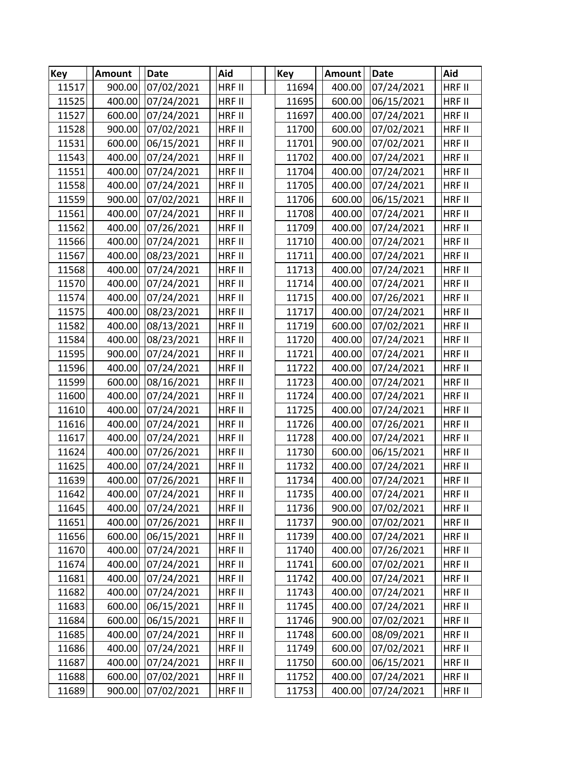| Key   | Amount | <b>Date</b>       | Aid           | <b>Key</b> | <b>Amount</b> | <b>Date</b>       | Aid           |
|-------|--------|-------------------|---------------|------------|---------------|-------------------|---------------|
| 11517 | 900.00 | 07/02/2021        | HRF II        | 11694      | 400.00        | 07/24/2021        | HRF II        |
| 11525 | 400.00 | 07/24/2021        | <b>HRF II</b> | 11695      | 600.00        | 06/15/2021        | HRF II        |
| 11527 | 600.00 | 07/24/2021        | HRF II        | 11697      | 400.00        | 07/24/2021        | HRF II        |
| 11528 | 900.00 | 07/02/2021        | HRF II        | 11700      | 600.00        | 07/02/2021        | HRF II        |
| 11531 | 600.00 | 06/15/2021        | HRF II        | 11701      | 900.00        | 07/02/2021        | HRF II        |
| 11543 | 400.00 | 07/24/2021        | HRF II        | 11702      | 400.00        | 07/24/2021        | <b>HRF II</b> |
| 11551 | 400.00 | 07/24/2021        | HRF II        | 11704      | 400.00        | 07/24/2021        | HRF II        |
| 11558 | 400.00 | 07/24/2021        | HRF II        | 11705      | 400.00        | 07/24/2021        | HRF II        |
| 11559 | 900.00 | 07/02/2021        | HRF II        | 11706      | 600.00        | 06/15/2021        | HRF II        |
| 11561 | 400.00 | 07/24/2021        | HRF II        | 11708      | 400.00        | 07/24/2021        | HRF II        |
| 11562 | 400.00 | 07/26/2021        | HRF II        | 11709      | 400.00        | 07/24/2021        | <b>HRF II</b> |
| 11566 | 400.00 | 07/24/2021        | HRF II        | 11710      | 400.00        | 07/24/2021        | HRF II        |
| 11567 | 400.00 | 08/23/2021        | <b>HRF II</b> | 11711      | 400.00        | 07/24/2021        | HRF II        |
| 11568 | 400.00 | 07/24/2021        | HRF II        | 11713      | 400.00        | 07/24/2021        | HRF II        |
| 11570 | 400.00 | 07/24/2021        | HRF II        | 11714      | 400.00        | 07/24/2021        | <b>HRF II</b> |
| 11574 | 400.00 | 07/24/2021        | HRF II        | 11715      | 400.00        | 07/26/2021        | HRF II        |
| 11575 | 400.00 | 08/23/2021        | HRF II        | 11717      | 400.00        | 07/24/2021        | HRF II        |
| 11582 | 400.00 | 08/13/2021        | HRF II        | 11719      | 600.00        | 07/02/2021        | HRF II        |
| 11584 | 400.00 | 08/23/2021        | HRF II        | 11720      | 400.00        | 07/24/2021        | <b>HRF II</b> |
| 11595 | 900.00 | 07/24/2021        | HRF II        | 11721      | 400.00        | 07/24/2021        | <b>HRF II</b> |
| 11596 | 400.00 | 07/24/2021        | HRF II        | 11722      | 400.00        | 07/24/2021        | HRF II        |
| 11599 | 600.00 | 08/16/2021        | HRF II        | 11723      | 400.00        | 07/24/2021        | HRF II        |
| 11600 | 400.00 | 07/24/2021        | HRF II        | 11724      | 400.00        | 07/24/2021        | HRF II        |
| 11610 | 400.00 | 07/24/2021        | HRF II        | 11725      | 400.00        | 07/24/2021        | <b>HRF II</b> |
| 11616 | 400.00 | 07/24/2021        | HRF II        | 11726      | 400.00        | 07/26/2021        | HRF II        |
| 11617 | 400.00 | 07/24/2021        | HRF II        | 11728      | 400.00        | 07/24/2021        | HRF II        |
| 11624 | 400.00 | 07/26/2021        | HRF II        | 11730      | 600.00        | 06/15/2021        | HRF II        |
| 11625 | 400.00 | 07/24/2021        | HRF II        | 11732      | 400.00        | 07/24/2021        | <b>HRF II</b> |
| 11639 | 400.00 | 07/26/2021        | HRF II        | 11734      | 400.00        | 07/24/2021        | HRF II        |
| 11642 |        | 400.00 07/24/2021 | <b>HRF II</b> | 11735      |               | 400.00 07/24/2021 | HRF II        |
| 11645 | 400.00 | 07/24/2021        | HRF II        | 11736      | 900.00        | 07/02/2021        | HRF II        |
| 11651 | 400.00 | 07/26/2021        | HRF II        | 11737      | 900.00        | 07/02/2021        | HRF II        |
| 11656 | 600.00 | 06/15/2021        | HRF II        | 11739      | 400.00        | 07/24/2021        | HRF II        |
| 11670 | 400.00 | 07/24/2021        | HRF II        | 11740      | 400.00        | 07/26/2021        | HRF II        |
| 11674 | 400.00 | 07/24/2021        | HRF II        | 11741      | 600.00        | 07/02/2021        | HRF II        |
| 11681 | 400.00 | 07/24/2021        | HRF II        | 11742      | 400.00        | 07/24/2021        | HRF II        |
| 11682 | 400.00 | 07/24/2021        | HRF II        | 11743      | 400.00        | 07/24/2021        | HRF II        |
| 11683 | 600.00 | 06/15/2021        | <b>HRF II</b> | 11745      | 400.00        | 07/24/2021        | HRF II        |
| 11684 | 600.00 | 06/15/2021        | HRF II        | 11746      | 900.00        | 07/02/2021        | HRF II        |
| 11685 | 400.00 | 07/24/2021        | HRF II        | 11748      | 600.00        | 08/09/2021        | HRF II        |
| 11686 | 400.00 | 07/24/2021        | HRF II        | 11749      | 600.00        | 07/02/2021        | HRF II        |
| 11687 | 400.00 | 07/24/2021        | HRF II        | 11750      | 600.00        | 06/15/2021        | HRF II        |
| 11688 | 600.00 | 07/02/2021        | HRF II        | 11752      | 400.00        | 07/24/2021        | HRF II        |
| 11689 | 900.00 | 07/02/2021        | HRF II        | 11753      | 400.00        | 07/24/2021        | HRF II        |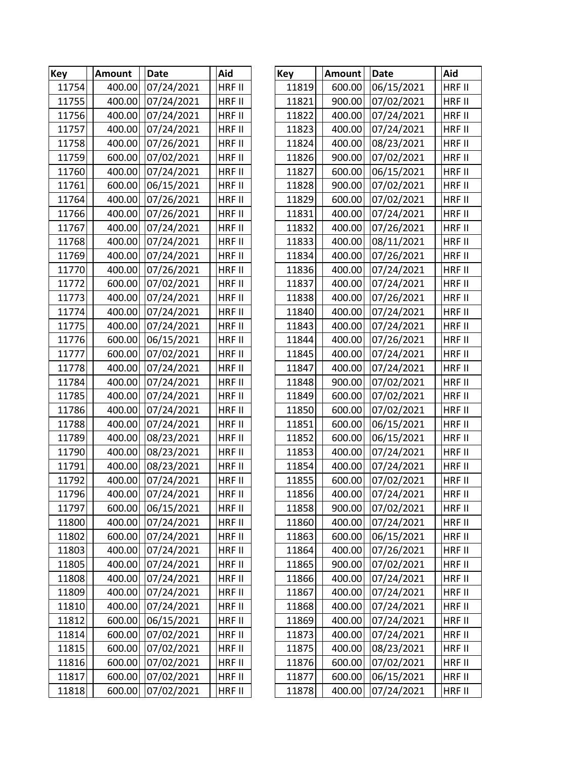| Key   | <b>Amount</b> | <b>Date</b> | Aid           | <b>Key</b> | <b>Amount</b> | <b>Date</b> | Aid           |
|-------|---------------|-------------|---------------|------------|---------------|-------------|---------------|
| 11754 | 400.00        | 07/24/2021  | HRF II        | 11819      | 600.00        | 06/15/2021  | HRF II        |
| 11755 | 400.00        | 07/24/2021  | HRF II        | 11821      | 900.00        | 07/02/2021  | HRF II        |
| 11756 | 400.00        | 07/24/2021  | HRF II        | 11822      | 400.00        | 07/24/2021  | HRF II        |
| 11757 | 400.00        | 07/24/2021  | HRF II        | 11823      | 400.00        | 07/24/2021  | HRF II        |
| 11758 | 400.00        | 07/26/2021  | HRF II        | 11824      | 400.00        | 08/23/2021  | HRF II        |
| 11759 | 600.00        | 07/02/2021  | HRF II        | 11826      | 900.00        | 07/02/2021  | HRF II        |
| 11760 | 400.00        | 07/24/2021  | HRF II        | 11827      | 600.00        | 06/15/2021  | HRF II        |
| 11761 | 600.00        | 06/15/2021  | HRF II        | 11828      | 900.00        | 07/02/2021  | HRF II        |
| 11764 | 400.00        | 07/26/2021  | HRF II        | 11829      | 600.00        | 07/02/2021  | HRF II        |
| 11766 | 400.00        | 07/26/2021  | HRF II        | 11831      | 400.00        | 07/24/2021  | HRF II        |
| 11767 | 400.00        | 07/24/2021  | HRF II        | 11832      | 400.00        | 07/26/2021  | HRF II        |
| 11768 | 400.00        | 07/24/2021  | HRF II        | 11833      | 400.00        | 08/11/2021  | HRF II        |
| 11769 | 400.00        | 07/24/2021  | HRF II        | 11834      | 400.00        | 07/26/2021  | HRF II        |
| 11770 | 400.00        | 07/26/2021  | HRF II        | 11836      | 400.00        | 07/24/2021  | HRF II        |
| 11772 | 600.00        | 07/02/2021  | HRF II        | 11837      | 400.00        | 07/24/2021  | HRF II        |
| 11773 | 400.00        | 07/24/2021  | HRF II        | 11838      | 400.00        | 07/26/2021  | <b>HRF II</b> |
| 11774 | 400.00        | 07/24/2021  | HRF II        | 11840      | 400.00        | 07/24/2021  | HRF II        |
| 11775 | 400.00        | 07/24/2021  | HRF II        | 11843      | 400.00        | 07/24/2021  | HRF II        |
| 11776 | 600.00        | 06/15/2021  | HRF II        | 11844      | 400.00        | 07/26/2021  | HRF II        |
| 11777 | 600.00        | 07/02/2021  | HRF II        | 11845      | 400.00        | 07/24/2021  | HRF II        |
| 11778 | 400.00        | 07/24/2021  | HRF II        | 11847      | 400.00        | 07/24/2021  | HRF II        |
| 11784 | 400.00        | 07/24/2021  | HRF II        | 11848      | 900.00        | 07/02/2021  | HRF II        |
| 11785 | 400.00        | 07/24/2021  | HRF II        | 11849      | 600.00        | 07/02/2021  | HRF II        |
| 11786 | 400.00        | 07/24/2021  | HRF II        | 11850      | 600.00        | 07/02/2021  | HRF II        |
| 11788 | 400.00        | 07/24/2021  | HRF II        | 11851      | 600.00        | 06/15/2021  | <b>HRF II</b> |
| 11789 | 400.00        | 08/23/2021  | HRF II        | 11852      | 600.00        | 06/15/2021  | HRF II        |
| 11790 | 400.00        | 08/23/2021  | HRF II        | 11853      | 400.00        | 07/24/2021  | HRF II        |
| 11791 | 400.00        | 08/23/2021  | HRF II        | 11854      | 400.00        | 07/24/2021  | HRF II        |
| 11792 | 400.00        | 07/24/2021  | HRF II        | 11855      | 600.00        | 07/02/2021  | HRF II        |
| 11796 | 400.00        | 07/24/2021  | <b>HRF II</b> | 11856      | 400.00        | 07/24/2021  | <b>HRF II</b> |
| 11797 | 600.00        | 06/15/2021  | HRF II        | 11858      | 900.00        | 07/02/2021  | HRF II        |
| 11800 | 400.00        | 07/24/2021  | HRF II        | 11860      | 400.00        | 07/24/2021  | HRF II        |
| 11802 | 600.00        | 07/24/2021  | HRF II        | 11863      | 600.00        | 06/15/2021  | HRF II        |
| 11803 | 400.00        | 07/24/2021  | HRF II        | 11864      | 400.00        | 07/26/2021  | HRF II        |
| 11805 | 400.00        | 07/24/2021  | HRF II        | 11865      | 900.00        | 07/02/2021  | HRF II        |
| 11808 | 400.00        | 07/24/2021  | HRF II        | 11866      | 400.00        | 07/24/2021  | HRF II        |
| 11809 | 400.00        | 07/24/2021  | HRF II        | 11867      | 400.00        | 07/24/2021  | HRF II        |
| 11810 | 400.00        | 07/24/2021  | HRF II        | 11868      | 400.00        | 07/24/2021  | HRF II        |
| 11812 | 600.00        | 06/15/2021  | HRF II        | 11869      | 400.00        | 07/24/2021  | HRF II        |
| 11814 | 600.00        | 07/02/2021  | HRF II        | 11873      | 400.00        | 07/24/2021  | HRF II        |
| 11815 | 600.00        | 07/02/2021  | HRF II        | 11875      | 400.00        | 08/23/2021  | <b>HRF II</b> |
| 11816 | 600.00        | 07/02/2021  | HRF II        | 11876      | 600.00        | 07/02/2021  | HRF II        |
| 11817 | 600.00        | 07/02/2021  | HRF II        | 11877      | 600.00        | 06/15/2021  | HRF II        |
| 11818 | 600.00        | 07/02/2021  | HRF II        | 11878      | 400.00        | 07/24/2021  | HRF II        |

| <b>ey</b> | <b>Amount</b> | <b>Date</b> | Aid           |
|-----------|---------------|-------------|---------------|
| 11819     | 600.00        | 06/15/2021  | HRF II        |
| 11821     | 900.00        | 07/02/2021  | HRF II        |
| 11822     | 400.00        | 07/24/2021  | <b>HRF II</b> |
| 11823     | 400.00        | 07/24/2021  | <b>HRF II</b> |
| 11824     | 400.00        | 08/23/2021  | HRF II        |
| 11826     | 900.00        | 07/02/2021  | HRF II        |
| 11827     | 600.00        | 06/15/2021  | HRF II        |
| 11828     | 900.00        | 07/02/2021  | HRF II        |
| 11829     | 600.00        | 07/02/2021  | HRF II        |
| 11831     | 400.00        | 07/24/2021  | HRF II        |
| 11832     | 400.00        | 07/26/2021  | <b>HRF II</b> |
| 11833     | 400.00        | 08/11/2021  | HRF II        |
| 11834     | 400.00        | 07/26/2021  | HRF II        |
| 11836     | 400.00        | 07/24/2021  | HRF II        |
| 11837     | 400.00        | 07/24/2021  | HRF II        |
| 11838     | 400.00        | 07/26/2021  | HRF II        |
| 11840     | 400.00        | 07/24/2021  | HRF II        |
| 11843     | 400.00        | 07/24/2021  | HRF II        |
| 11844     | 400.00        | 07/26/2021  | <b>HRF II</b> |
| 11845     | 400.00        | 07/24/2021  | <b>HRF II</b> |
| 11847     | 400.00        | 07/24/2021  | HRF II        |
| 11848     | 900.00        | 07/02/2021  | HRF II        |
| 11849     | 600.00        | 07/02/2021  | HRF II        |
| 11850     | 600.00        | 07/02/2021  | HRF II        |
| 11851     | 600.00        | 06/15/2021  | HRF II        |
| 11852     | 600.00        | 06/15/2021  | HRF II        |
| 11853     | 400.00        | 07/24/2021  | <b>HRF II</b> |
| 11854     | 400.00        | 07/24/2021  | HRF II        |
| 11855     | 600.00        | 07/02/2021  | HRF II        |
| 11856     | 400.00        | 07/24/2021  | <b>HRF II</b> |
| 11858     | 900.00        | 07/02/2021  | HRF II        |
| 11860     | 400.00        | 07/24/2021  | HRF II        |
| 11863     | 600.00        | 06/15/2021  | HRF II        |
| 11864     | 400.00        | 07/26/2021  | HRF II        |
| 11865     | 900.00        | 07/02/2021  | HRF II        |
| 11866     | 400.00        | 07/24/2021  | HRF II        |
| 11867     | 400.00        | 07/24/2021  | HRF II        |
| 11868     | 400.00        | 07/24/2021  | HRF II        |
| 11869     | 400.00        | 07/24/2021  | HRF II        |
| 11873     | 400.00        | 07/24/2021  | HRF II        |
| 11875     | 400.00        | 08/23/2021  | HRF II        |
| 11876     | 600.00        | 07/02/2021  | HRF II        |
| 11877     | 600.00        | 06/15/2021  | HRF II        |
| 11878     | 400.00        | 07/24/2021  | HRF II        |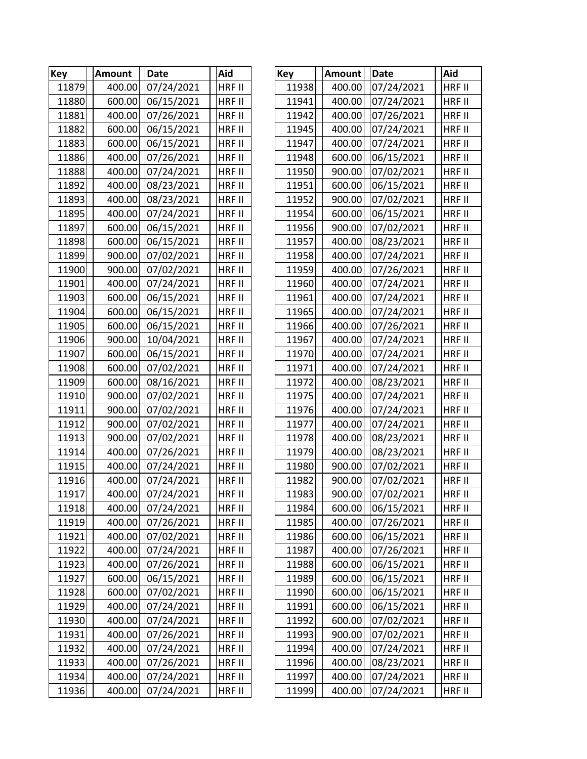| <b>Key</b> | <b>Amount</b> | Date       | Aid           | <b>Key</b> | Amount | <b>Date</b> | Aid           |
|------------|---------------|------------|---------------|------------|--------|-------------|---------------|
| 11879      | 400.00        | 07/24/2021 | HRF II        | 11938      | 400.00 | 07/24/2021  | HRF II        |
| 11880      | 600.00        | 06/15/2021 | HRF II        | 11941      | 400.00 | 07/24/2021  | HRF II        |
| 11881      | 400.00        | 07/26/2021 | HRF II        | 11942      | 400.00 | 07/26/2021  | HRF II        |
| 11882      | 600.00        | 06/15/2021 | HRF II        | 11945      | 400.00 | 07/24/2021  | HRF II        |
| 11883      | 600.00        | 06/15/2021 | HRF II        | 11947      | 400.00 | 07/24/2021  | <b>HRF II</b> |
| 11886      | 400.00        | 07/26/2021 | HRF II        | 11948      | 600.00 | 06/15/2021  | HRF II        |
| 11888      | 400.00        | 07/24/2021 | HRF II        | 11950      | 900.00 | 07/02/2021  | HRF II        |
| 11892      | 400.00        | 08/23/2021 | HRF II        | 11951      | 600.00 | 06/15/2021  | HRF II        |
| 11893      | 400.00        | 08/23/2021 | HRF II        | 11952      | 900.00 | 07/02/2021  | HRF II        |
| 11895      | 400.00        | 07/24/2021 | HRF II        | 11954      | 600.00 | 06/15/2021  | HRF II        |
| 11897      | 600.00        | 06/15/2021 | HRF II        | 11956      | 900.00 | 07/02/2021  | HRF II        |
| 11898      | 600.00        | 06/15/2021 | HRF II        | 11957      | 400.00 | 08/23/2021  | HRF II        |
| 11899      | 900.00        | 07/02/2021 | HRF II        | 11958      | 400.00 | 07/24/2021  | HRF II        |
| 11900      | 900.00        | 07/02/2021 | HRF II        | 11959      | 400.00 | 07/26/2021  | HRF II        |
| 11901      | 400.00        | 07/24/2021 | HRF II        | 11960      | 400.00 | 07/24/2021  | HRF II        |
| 11903      | 600.00        | 06/15/2021 | HRF II        | 11961      | 400.00 | 07/24/2021  | <b>HRF II</b> |
| 11904      | 600.00        | 06/15/2021 | HRF II        | 11965      | 400.00 | 07/24/2021  | HRF II        |
| 11905      | 600.00        | 06/15/2021 | HRF II        | 11966      | 400.00 | 07/26/2021  | HRF II        |
| 11906      | 900.00        | 10/04/2021 | HRF II        | 11967      | 400.00 | 07/24/2021  | HRF II        |
| 11907      | 600.00        | 06/15/2021 | HRF II        | 11970      | 400.00 | 07/24/2021  | HRF II        |
| 11908      | 600.00        | 07/02/2021 | HRF II        | 11971      | 400.00 | 07/24/2021  | HRF II        |
| 11909      | 600.00        | 08/16/2021 | HRF II        | 11972      | 400.00 | 08/23/2021  | HRF II        |
| 11910      | 900.00        | 07/02/2021 | HRF II        | 11975      | 400.00 | 07/24/2021  | HRF II        |
| 11911      | 900.00        | 07/02/2021 | HRF II        | 11976      | 400.00 | 07/24/2021  | HRF II        |
| 11912      | 900.00        | 07/02/2021 | HRF II        | 11977      | 400.00 | 07/24/2021  | <b>HRF II</b> |
| 11913      | 900.00        | 07/02/2021 | HRF II        | 11978      | 400.00 | 08/23/2021  | HRF II        |
| 11914      | 400.00        | 07/26/2021 | HRF II        | 11979      | 400.00 | 08/23/2021  | HRF II        |
| 11915      | 400.00        | 07/24/2021 | HRF II        | 11980      | 900.00 | 07/02/2021  | HRF II        |
| 11916      | 400.00        | 07/24/2021 | HRF II        | 11982      | 900.00 | 07/02/2021  | HRF II        |
| 11917      | 400.00        | 07/24/2021 | <b>HRF II</b> | 11983      | 900.00 | 07/02/2021  | <b>HRF II</b> |
| 11918      | 400.00        | 07/24/2021 | HRF II        | 11984      | 600.00 | 06/15/2021  | HRF II        |
| 11919      | 400.00        | 07/26/2021 | <b>HRF II</b> | 11985      | 400.00 | 07/26/2021  | HRF II        |
| 11921      | 400.00        | 07/02/2021 | HRF II        | 11986      | 600.00 | 06/15/2021  | HRF II        |
| 11922      | 400.00        | 07/24/2021 | HRF II        | 11987      | 400.00 | 07/26/2021  | HRF II        |
| 11923      | 400.00        | 07/26/2021 | HRF II        | 11988      | 600.00 | 06/15/2021  | HRF II        |
| 11927      | 600.00        | 06/15/2021 | HRF II        | 11989      | 600.00 | 06/15/2021  | HRF II        |
| 11928      | 600.00        | 07/02/2021 | HRF II        | 11990      | 600.00 | 06/15/2021  | HRF II        |
| 11929      | 400.00        | 07/24/2021 | HRF II        | 11991      | 600.00 | 06/15/2021  | HRF II        |
| 11930      | 400.00        | 07/24/2021 | HRF II        | 11992      | 600.00 | 07/02/2021  | HRF II        |
| 11931      | 400.00        | 07/26/2021 | HRF II        | 11993      | 900.00 | 07/02/2021  | HRF II        |
| 11932      | 400.00        | 07/24/2021 | HRF II        | 11994      | 400.00 | 07/24/2021  | <b>HRF II</b> |
| 11933      | 400.00        | 07/26/2021 | HRF II        | 11996      | 400.00 | 08/23/2021  | HRF II        |
| 11934      | 400.00        | 07/24/2021 | HRF II        | 11997      | 400.00 | 07/24/2021  | HRF II        |
| 11936      | 400.00        | 07/24/2021 | HRF II        | 11999      | 400.00 | 07/24/2021  | HRF II        |

| <ey< th=""><th><b>Amount</b></th><th>Date</th><th>Aid</th></ey<> | <b>Amount</b> | Date       | Aid           |
|------------------------------------------------------------------|---------------|------------|---------------|
| 11938                                                            | 400.00        | 07/24/2021 | HRF II        |
| 11941                                                            | 400.00        | 07/24/2021 | HRF II        |
| 11942                                                            | 400.00        | 07/26/2021 | <b>HRF II</b> |
| 11945                                                            | 400.00        | 07/24/2021 | <b>HRF II</b> |
| 11947                                                            | 400.00        | 07/24/2021 | <b>HRF II</b> |
| 11948                                                            | 600.00        | 06/15/2021 | HRF II        |
| 11950                                                            | 900.00        | 07/02/2021 | <b>HRF II</b> |
| 11951                                                            | 600.00        | 06/15/2021 | HRF II        |
| 11952                                                            | 900.00        | 07/02/2021 | HRF II        |
| 11954                                                            | 600.00        | 06/15/2021 | HRF II        |
| 11956                                                            | 900.00        | 07/02/2021 | <b>HRF II</b> |
| 11957                                                            | 400.00        | 08/23/2021 | <b>HRF II</b> |
| 11958                                                            | 400.00        | 07/24/2021 | HRF II        |
| 11959                                                            | 400.00        | 07/26/2021 | HRF II        |
| 11960                                                            | 400.00        | 07/24/2021 | HRF II        |
| 11961                                                            | 400.00        | 07/24/2021 | <b>HRF II</b> |
| 11965                                                            | 400.00        | 07/24/2021 | HRF II        |
| 11966                                                            | 400.00        | 07/26/2021 | <b>HRF II</b> |
| 11967                                                            | 400.00        | 07/24/2021 | HRF II        |
| 11970                                                            | 400.00        | 07/24/2021 | HRF II        |
| 11971                                                            | 400.00        | 07/24/2021 | <b>HRF II</b> |
| 11972                                                            | 400.00        | 08/23/2021 | HRF II        |
| 11975                                                            | 400.00        | 07/24/2021 | HRF II        |
| 11976                                                            | 400.00        | 07/24/2021 | <b>HRF II</b> |
| 11977                                                            | 400.00        | 07/24/2021 | <b>HRF II</b> |
| 11978                                                            | 400.00        | 08/23/2021 | HRF II        |
| 11979                                                            | 400.00        | 08/23/2021 | <b>HRF II</b> |
| 11980                                                            | 900.00        | 07/02/2021 | HRF II        |
| 11982                                                            | 900.00        | 07/02/2021 | HRF II        |
| 11983                                                            | 900.00        | 07/02/2021 | HRF II        |
| 11984                                                            | 600.00        | 06/15/2021 | HRF II        |
| 11985                                                            | 400.00        | 07/26/2021 | HRF II        |
| 11986                                                            | 600.00        | 06/15/2021 | HRF II        |
| 11987                                                            | 400.00        | 07/26/2021 | HRF II        |
| 11988                                                            | 600.00        | 06/15/2021 | HRF II        |
| 11989                                                            | 600.00        | 06/15/2021 | <b>HRF II</b> |
| 11990                                                            | 600.00        | 06/15/2021 | HRF II        |
| 11991                                                            | 600.00        | 06/15/2021 | HRF II        |
| 11992                                                            | 600.00        | 07/02/2021 | HRF II        |
| 11993                                                            | 900.00        | 07/02/2021 | HRF II        |
| 11994                                                            | 400.00        | 07/24/2021 | HRF II        |
| 11996                                                            | 400.00        | 08/23/2021 | <b>HRF II</b> |
| 11997                                                            | 400.00        | 07/24/2021 | HRF II        |
| 11999                                                            | 400.00        | 07/24/2021 | HRF II        |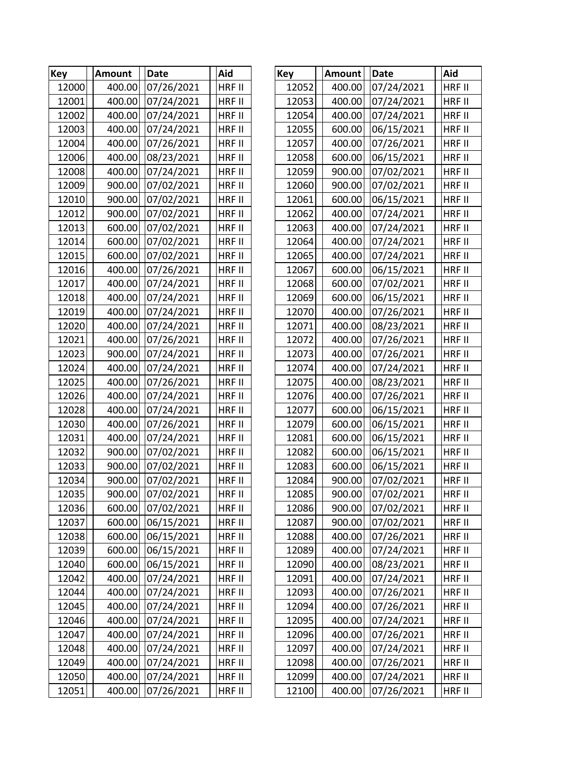| <b>Key</b> | <b>Amount</b> | Date       | Aid           | <b>Key</b> | Amount | Date       | Aid           |
|------------|---------------|------------|---------------|------------|--------|------------|---------------|
| 12000      | 400.00        | 07/26/2021 | HRF II        | 12052      | 400.00 | 07/24/2021 | HRF II        |
| 12001      | 400.00        | 07/24/2021 | HRF II        | 12053      | 400.00 | 07/24/2021 | HRF II        |
| 12002      | 400.00        | 07/24/2021 | HRF II        | 12054      | 400.00 | 07/24/2021 | HRF II        |
| 12003      | 400.00        | 07/24/2021 | HRF II        | 12055      | 600.00 | 06/15/2021 | HRF II        |
| 12004      | 400.00        | 07/26/2021 | HRF II        | 12057      | 400.00 | 07/26/2021 | HRF II        |
| 12006      | 400.00        | 08/23/2021 | HRF II        | 12058      | 600.00 | 06/15/2021 | HRF II        |
| 12008      | 400.00        | 07/24/2021 | <b>HRF II</b> | 12059      | 900.00 | 07/02/2021 | HRF II        |
| 12009      | 900.00        | 07/02/2021 | HRF II        | 12060      | 900.00 | 07/02/2021 | HRF II        |
| 12010      | 900.00        | 07/02/2021 | HRF II        | 12061      | 600.00 | 06/15/2021 | HRF II        |
| 12012      | 900.00        | 07/02/2021 | HRF II        | 12062      | 400.00 | 07/24/2021 | HRF II        |
| 12013      | 600.00        | 07/02/2021 | HRF II        | 12063      | 400.00 | 07/24/2021 | HRF II        |
| 12014      | 600.00        | 07/02/2021 | HRF II        | 12064      | 400.00 | 07/24/2021 | HRF II        |
| 12015      | 600.00        | 07/02/2021 | HRF II        | 12065      | 400.00 | 07/24/2021 | HRF II        |
| 12016      | 400.00        | 07/26/2021 | HRF II        | 12067      | 600.00 | 06/15/2021 | HRF II        |
| 12017      | 400.00        | 07/24/2021 | HRF II        | 12068      | 600.00 | 07/02/2021 | HRF II        |
| 12018      | 400.00        | 07/24/2021 | HRF II        | 12069      | 600.00 | 06/15/2021 | <b>HRF II</b> |
| 12019      | 400.00        | 07/24/2021 | HRF II        | 12070      | 400.00 | 07/26/2021 | HRF II        |
| 12020      | 400.00        | 07/24/2021 | HRF II        | 12071      | 400.00 | 08/23/2021 | HRF II        |
| 12021      | 400.00        | 07/26/2021 | HRF II        | 12072      | 400.00 | 07/26/2021 | HRF II        |
| 12023      | 900.00        | 07/24/2021 | HRF II        | 12073      | 400.00 | 07/26/2021 | HRF II        |
| 12024      | 400.00        | 07/24/2021 | HRF II        | 12074      | 400.00 | 07/24/2021 | HRF II        |
| 12025      | 400.00        | 07/26/2021 | HRF II        | 12075      | 400.00 | 08/23/2021 | HRF II        |
| 12026      | 400.00        | 07/24/2021 | HRF II        | 12076      | 400.00 | 07/26/2021 | HRF II        |
| 12028      | 400.00        | 07/24/2021 | HRF II        | 12077      | 600.00 | 06/15/2021 | HRF II        |
| 12030      | 400.00        | 07/26/2021 | HRF II        | 12079      | 600.00 | 06/15/2021 | <b>HRF II</b> |
| 12031      | 400.00        | 07/24/2021 | HRF II        | 12081      | 600.00 | 06/15/2021 | HRF II        |
| 12032      | 900.00        | 07/02/2021 | HRF II        | 12082      | 600.00 | 06/15/2021 | HRF II        |
| 12033      | 900.00        | 07/02/2021 | HRF II        | 12083      | 600.00 | 06/15/2021 | HRF II        |
| 12034      | 900.00        | 07/02/2021 | HRF II        | 12084      | 900.00 | 07/02/2021 | HRF II        |
| 12035      | 900.00        | 07/02/2021 | <b>HRF II</b> | 12085      | 900.00 | 07/02/2021 | <b>HRF II</b> |
| 12036      | 600.00        | 07/02/2021 | HRF II        | 12086      | 900.00 | 07/02/2021 | HRF II        |
| 12037      | 600.00        | 06/15/2021 | HRF II        | 12087      | 900.00 | 07/02/2021 | HRF II        |
| 12038      | 600.00        | 06/15/2021 | HRF II        | 12088      | 400.00 | 07/26/2021 | HRF II        |
| 12039      | 600.00        | 06/15/2021 | HRF II        | 12089      | 400.00 | 07/24/2021 | HRF II        |
| 12040      | 600.00        | 06/15/2021 | HRF II        | 12090      | 400.00 | 08/23/2021 | HRF II        |
| 12042      | 400.00        | 07/24/2021 | HRF II        | 12091      | 400.00 | 07/24/2021 | HRF II        |
| 12044      | 400.00        | 07/24/2021 | HRF II        | 12093      | 400.00 | 07/26/2021 | HRF II        |
| 12045      | 400.00        | 07/24/2021 | HRF II        | 12094      | 400.00 | 07/26/2021 | HRF II        |
| 12046      | 400.00        | 07/24/2021 | HRF II        | 12095      | 400.00 | 07/24/2021 | HRF II        |
| 12047      | 400.00        | 07/24/2021 | HRF II        | 12096      | 400.00 | 07/26/2021 | HRF II        |
| 12048      | 400.00        | 07/24/2021 | HRF II        | 12097      | 400.00 | 07/24/2021 | <b>HRF II</b> |
| 12049      | 400.00        | 07/24/2021 | HRF II        | 12098      | 400.00 | 07/26/2021 | HRF II        |
| 12050      | 400.00        | 07/24/2021 | HRF II        | 12099      | 400.00 | 07/24/2021 | HRF II        |
| 12051      | 400.00        | 07/26/2021 | HRF II        | 12100      | 400.00 | 07/26/2021 | HRF II        |

| <ey< th=""><th>Amount</th><th>Date</th><th>Aid</th></ey<> | Amount | Date       | Aid           |
|-----------------------------------------------------------|--------|------------|---------------|
| 12052                                                     | 400.00 | 07/24/2021 | HRF II        |
| 12053                                                     | 400.00 | 07/24/2021 | <b>HRF II</b> |
| 12054                                                     | 400.00 | 07/24/2021 | <b>HRF II</b> |
| 12055                                                     | 600.00 | 06/15/2021 | <b>HRF II</b> |
| 12057                                                     | 400.00 | 07/26/2021 | <b>HRF II</b> |
| 12058                                                     | 600.00 | 06/15/2021 | HRF II        |
| 12059                                                     | 900.00 | 07/02/2021 | HRF II        |
| 12060                                                     | 900.00 | 07/02/2021 | <b>HRF II</b> |
| 12061                                                     | 600.00 | 06/15/2021 | HRF II        |
| 12062                                                     | 400.00 | 07/24/2021 | HRF II        |
| 12063                                                     | 400.00 | 07/24/2021 | <b>HRF II</b> |
| 12064                                                     | 400.00 | 07/24/2021 | HRF II        |
| 12065                                                     | 400.00 | 07/24/2021 | HRF II        |
| 12067                                                     | 600.00 | 06/15/2021 | HRF II        |
| 12068                                                     | 600.00 | 07/02/2021 | HRF II        |
| 12069                                                     | 600.00 | 06/15/2021 | <b>HRF II</b> |
| 12070                                                     | 400.00 | 07/26/2021 | HRF II        |
| 12071                                                     | 400.00 | 08/23/2021 | <b>HRF II</b> |
| 12072                                                     | 400.00 | 07/26/2021 | HRF II        |
| 12073                                                     | 400.00 | 07/26/2021 | HRF II        |
| 12074                                                     | 400.00 | 07/24/2021 | <b>HRF II</b> |
| 12075                                                     | 400.00 | 08/23/2021 | HRF II        |
| 12076                                                     | 400.00 | 07/26/2021 | HRF II        |
| 12077                                                     | 600.00 | 06/15/2021 | <b>HRF II</b> |
| 12079                                                     | 600.00 | 06/15/2021 | <b>HRF II</b> |
| 12081                                                     | 600.00 | 06/15/2021 | HRF II        |
| 12082                                                     | 600.00 | 06/15/2021 | HRF II        |
| 12083                                                     | 600.00 | 06/15/2021 | HRF II        |
| 12084                                                     | 900.00 | 07/02/2021 | HRF II        |
| 12085                                                     | 900.00 | 07/02/2021 | HRF II        |
| 12086                                                     | 900.00 | 07/02/2021 | HRF II        |
| 12087                                                     | 900.00 | 07/02/2021 | HRF II        |
| 12088                                                     | 400.00 | 07/26/2021 | <b>HRF II</b> |
| 12089                                                     | 400.00 | 07/24/2021 | HRF II        |
| 12090                                                     | 400.00 | 08/23/2021 | HRF II        |
| 12091                                                     | 400.00 | 07/24/2021 | <b>HRF II</b> |
| 12093                                                     | 400.00 | 07/26/2021 | HRF II        |
| 12094                                                     | 400.00 | 07/26/2021 | HRF II        |
| 12095                                                     | 400.00 | 07/24/2021 | HRF II        |
| 12096                                                     | 400.00 | 07/26/2021 | HRF II        |
| 12097                                                     | 400.00 | 07/24/2021 | HRF II        |
| 12098                                                     | 400.00 | 07/26/2021 | <b>HRF II</b> |
| 12099                                                     | 400.00 | 07/24/2021 | HRF II        |
| 12100                                                     | 400.00 | 07/26/2021 | HRF II        |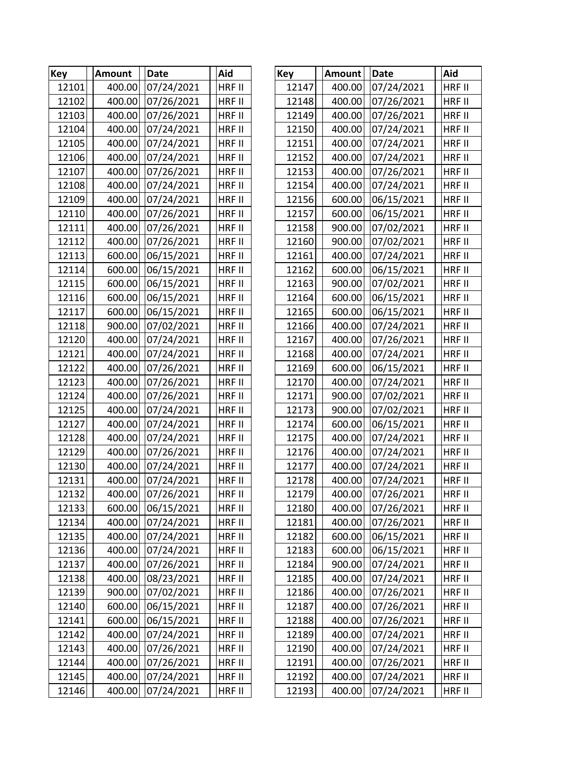| Key   | <b>Amount</b> | <b>Date</b> | Aid           | <b>Key</b> | Amount | Date       | Aid           |
|-------|---------------|-------------|---------------|------------|--------|------------|---------------|
| 12101 | 400.00        | 07/24/2021  | HRF II        | 12147      | 400.00 | 07/24/2021 | HRF II        |
| 12102 | 400.00        | 07/26/2021  | HRF II        | 12148      | 400.00 | 07/26/2021 | HRF II        |
| 12103 | 400.00        | 07/26/2021  | HRF II        | 12149      | 400.00 | 07/26/2021 | HRF II        |
| 12104 | 400.00        | 07/24/2021  | HRF II        | 12150      | 400.00 | 07/24/2021 | HRF II        |
| 12105 | 400.00        | 07/24/2021  | HRF II        | 12151      | 400.00 | 07/24/2021 | HRF II        |
| 12106 | 400.00        | 07/24/2021  | HRF II        | 12152      | 400.00 | 07/24/2021 | HRF II        |
| 12107 | 400.00        | 07/26/2021  | <b>HRF II</b> | 12153      | 400.00 | 07/26/2021 | HRF II        |
| 12108 | 400.00        | 07/24/2021  | HRF II        | 12154      | 400.00 | 07/24/2021 | HRF II        |
| 12109 | 400.00        | 07/24/2021  | HRF II        | 12156      | 600.00 | 06/15/2021 | HRF II        |
| 12110 | 400.00        | 07/26/2021  | HRF II        | 12157      | 600.00 | 06/15/2021 | HRF II        |
| 12111 | 400.00        | 07/26/2021  | HRF II        | 12158      | 900.00 | 07/02/2021 | HRF II        |
| 12112 | 400.00        | 07/26/2021  | HRF II        | 12160      | 900.00 | 07/02/2021 | HRF II        |
| 12113 | 600.00        | 06/15/2021  | HRF II        | 12161      | 400.00 | 07/24/2021 | HRF II        |
| 12114 | 600.00        | 06/15/2021  | HRF II        | 12162      | 600.00 | 06/15/2021 | HRF II        |
| 12115 | 600.00        | 06/15/2021  | HRF II        | 12163      | 900.00 | 07/02/2021 | HRF II        |
| 12116 | 600.00        | 06/15/2021  | HRF II        | 12164      | 600.00 | 06/15/2021 | HRF II        |
| 12117 | 600.00        | 06/15/2021  | HRF II        | 12165      | 600.00 | 06/15/2021 | HRF II        |
| 12118 | 900.00        | 07/02/2021  | HRF II        | 12166      | 400.00 | 07/24/2021 | HRF II        |
| 12120 | 400.00        | 07/24/2021  | HRF II        | 12167      | 400.00 | 07/26/2021 | HRF II        |
| 12121 | 400.00        | 07/24/2021  | HRF II        | 12168      | 400.00 | 07/24/2021 | HRF II        |
| 12122 | 400.00        | 07/26/2021  | HRF II        | 12169      | 600.00 | 06/15/2021 | HRF II        |
| 12123 | 400.00        | 07/26/2021  | HRF II        | 12170      | 400.00 | 07/24/2021 | HRF II        |
| 12124 | 400.00        | 07/26/2021  | HRF II        | 12171      | 900.00 | 07/02/2021 | HRF II        |
| 12125 | 400.00        | 07/24/2021  | HRF II        | 12173      | 900.00 | 07/02/2021 | HRF II        |
| 12127 | 400.00        | 07/24/2021  | HRF II        | 12174      | 600.00 | 06/15/2021 | <b>HRF II</b> |
| 12128 | 400.00        | 07/24/2021  | HRF II        | 12175      | 400.00 | 07/24/2021 | HRF II        |
| 12129 | 400.00        | 07/26/2021  | HRF II        | 12176      | 400.00 | 07/24/2021 | HRF II        |
| 12130 | 400.00        | 07/24/2021  | HRF II        | 12177      | 400.00 | 07/24/2021 | HRF II        |
| 12131 | 400.00        | 07/24/2021  | HRF II        | 12178      | 400.00 | 07/24/2021 | HRF II        |
| 12132 | 400.00        | 07/26/2021  | <b>HRF II</b> | 12179      | 400.00 | 07/26/2021 | <b>HRF II</b> |
| 12133 | 600.00        | 06/15/2021  | HRF II        | 12180      | 400.00 | 07/26/2021 | HRF II        |
| 12134 | 400.00        | 07/24/2021  | HRF II        | 12181      | 400.00 | 07/26/2021 | HRF II        |
| 12135 | 400.00        | 07/24/2021  | HRF II        | 12182      | 600.00 | 06/15/2021 | HRF II        |
| 12136 | 400.00        | 07/24/2021  | HRF II        | 12183      | 600.00 | 06/15/2021 | HRF II        |
| 12137 | 400.00        | 07/26/2021  | HRF II        | 12184      | 900.00 | 07/24/2021 | HRF II        |
| 12138 | 400.00        | 08/23/2021  | HRF II        | 12185      | 400.00 | 07/24/2021 | HRF II        |
| 12139 | 900.00        | 07/02/2021  | HRF II        | 12186      | 400.00 | 07/26/2021 | HRF II        |
| 12140 | 600.00        | 06/15/2021  | HRF II        | 12187      | 400.00 | 07/26/2021 | HRF II        |
| 12141 | 600.00        | 06/15/2021  | HRF II        | 12188      | 400.00 | 07/26/2021 | HRF II        |
| 12142 | 400.00        | 07/24/2021  | HRF II        | 12189      | 400.00 | 07/24/2021 | HRF II        |
| 12143 | 400.00        | 07/26/2021  | HRF II        | 12190      | 400.00 | 07/24/2021 | <b>HRF II</b> |
| 12144 | 400.00        | 07/26/2021  | HRF II        | 12191      | 400.00 | 07/26/2021 | HRF II        |
| 12145 | 400.00        | 07/24/2021  | HRF II        | 12192      | 400.00 | 07/24/2021 | HRF II        |
| 12146 | 400.00        | 07/24/2021  | HRF II        | 12193      | 400.00 | 07/24/2021 | HRF II        |

| <eγ< th=""><th><b>Amount</b></th><th>Date</th><th>Aid</th></eγ<> | <b>Amount</b> | Date       | Aid           |
|------------------------------------------------------------------|---------------|------------|---------------|
| 12147                                                            | 400.00        | 07/24/2021 | HRF II        |
| 12148                                                            | 400.00        | 07/26/2021 | HRF II        |
| 12149                                                            | 400.00        | 07/26/2021 | <b>HRF II</b> |
| 12150                                                            | 400.00        | 07/24/2021 | <b>HRF II</b> |
| 12151                                                            | 400.00        | 07/24/2021 | <b>HRF II</b> |
| 12152                                                            | 400.00        | 07/24/2021 | HRF II        |
| 12153                                                            | 400.00        | 07/26/2021 | HRF II        |
| 12154                                                            | 400.00        | 07/24/2021 | HRF II        |
| 12156                                                            | 600.00        | 06/15/2021 | HRF II        |
| 12157                                                            | 600.00        | 06/15/2021 | HRF II        |
| 12158                                                            | 900.00        | 07/02/2021 | <b>HRF II</b> |
| 12160                                                            | 900.00        | 07/02/2021 | HRF II        |
| 12161                                                            | 400.00        | 07/24/2021 | <b>HRF II</b> |
| 12162                                                            | 600.00        | 06/15/2021 | HRF II        |
| 12163                                                            | 900.00        | 07/02/2021 | HRF II        |
| 12164                                                            | 600.00        | 06/15/2021 | HRF II        |
| 12165                                                            | 600.00        | 06/15/2021 | HRF II        |
| 12166                                                            | 400.00        | 07/24/2021 | HRF II        |
| 12167                                                            | 400.00        | 07/26/2021 | HRF II        |
| 12168                                                            | 400.00        | 07/24/2021 | HRF II        |
| 12169                                                            | 600.00        | 06/15/2021 | <b>HRF II</b> |
| 12170                                                            | 400.00        | 07/24/2021 | <b>HRF II</b> |
| 12171                                                            | 900.00        | 07/02/2021 | HRF II        |
| 12173                                                            | 900.00        | 07/02/2021 | HRF II        |
| 12174                                                            | 600.00        | 06/15/2021 | HRF II        |
| 12175                                                            | 400.00        | 07/24/2021 | HRF II        |
| 12176                                                            | 400.00        | 07/24/2021 | HRF II        |
| 12177                                                            | 400.00        | 07/24/2021 | HRF II        |
| 12178                                                            | 400.00        | 07/24/2021 | HRF II        |
| 12179                                                            | 400.00        | 07/26/2021 | HRF II        |
| 12180                                                            | 400.00        | 07/26/2021 | HRF II        |
| 12181                                                            | 400.00        | 07/26/2021 | HRF II        |
| 12182                                                            | 600.00        | 06/15/2021 | HRF II        |
| 12183                                                            | 600.00        | 06/15/2021 | HRF II        |
| 12184                                                            | 900.00        | 07/24/2021 | HRF II        |
| 12185                                                            | 400.00        | 07/24/2021 | HRF II        |
| 12186                                                            | 400.00        | 07/26/2021 | HRF II        |
| 12187                                                            | 400.00        | 07/26/2021 | HRF II        |
| 12188                                                            | 400.00        | 07/26/2021 | HRF II        |
| 12189                                                            | 400.00        | 07/24/2021 | HRF II        |
| 12190                                                            | 400.00        | 07/24/2021 | HRF II        |
| 12191                                                            | 400.00        | 07/26/2021 | <b>HRF II</b> |
| 12192                                                            | 400.00        | 07/24/2021 | HRF II        |
| 12193                                                            | 400.00        | 07/24/2021 | HRF II        |